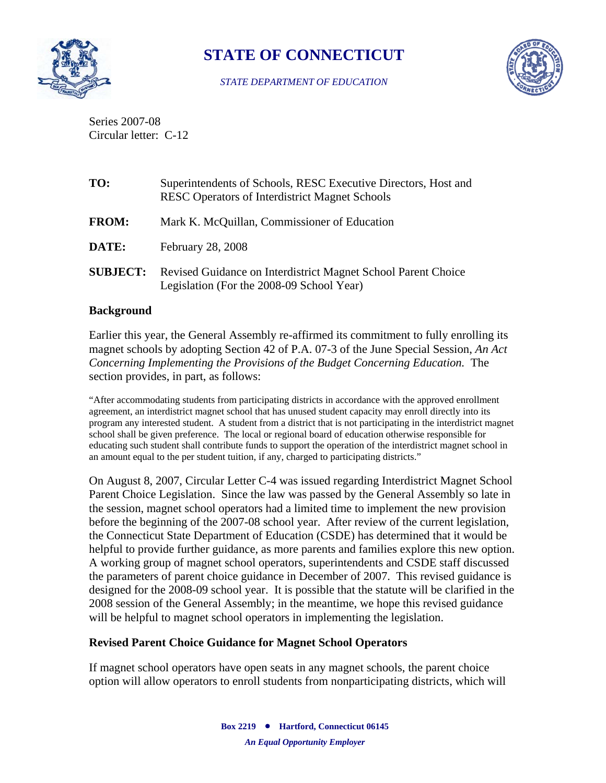

# **STATE OF CONNECTICUT**

#### *STATE DEPARTMENT OF EDUCATION*



Series 2007-08 Circular letter: C-12

| TO:             | Superintendents of Schools, RESC Executive Directors, Host and<br><b>RESC Operators of Interdistrict Magnet Schools</b> |  |  |  |  |  |
|-----------------|-------------------------------------------------------------------------------------------------------------------------|--|--|--|--|--|
| <b>FROM:</b>    | Mark K. McQuillan, Commissioner of Education                                                                            |  |  |  |  |  |
| <b>DATE:</b>    | February 28, 2008                                                                                                       |  |  |  |  |  |
| <b>SUBJECT:</b> | Revised Guidance on Interdistrict Magnet School Parent Choice<br>Legislation (For the 2008-09 School Year)              |  |  |  |  |  |

#### **Background**

Earlier this year, the General Assembly re-affirmed its commitment to fully enrolling its magnet schools by adopting Section 42 of P.A. 07-3 of the June Special Session, *An Act Concerning Implementing the Provisions of the Budget Concerning Education.* The section provides, in part, as follows:

"After accommodating students from participating districts in accordance with the approved enrollment agreement, an interdistrict magnet school that has unused student capacity may enroll directly into its program any interested student. A student from a district that is not participating in the interdistrict magnet school shall be given preference. The local or regional board of education otherwise responsible for educating such student shall contribute funds to support the operation of the interdistrict magnet school in an amount equal to the per student tuition, if any, charged to participating districts."

On August 8, 2007, Circular Letter C-4 was issued regarding Interdistrict Magnet School Parent Choice Legislation. Since the law was passed by the General Assembly so late in the session, magnet school operators had a limited time to implement the new provision before the beginning of the 2007-08 school year. After review of the current legislation, the Connecticut State Department of Education (CSDE) has determined that it would be helpful to provide further guidance, as more parents and families explore this new option. A working group of magnet school operators, superintendents and CSDE staff discussed the parameters of parent choice guidance in December of 2007. This revised guidance is designed for the 2008-09 school year. It is possible that the statute will be clarified in the 2008 session of the General Assembly; in the meantime, we hope this revised guidance will be helpful to magnet school operators in implementing the legislation.

### **Revised Parent Choice Guidance for Magnet School Operators**

If magnet school operators have open seats in any magnet schools, the parent choice option will allow operators to enroll students from nonparticipating districts, which will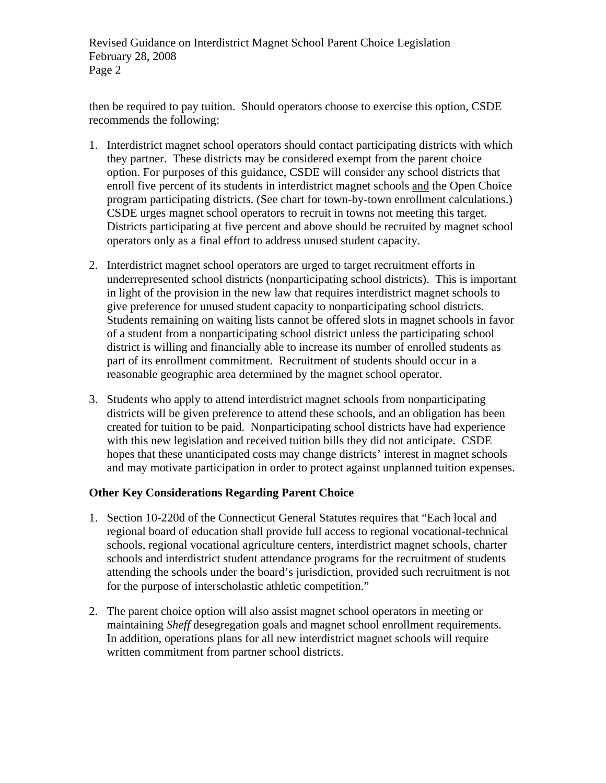Revised Guidance on Interdistrict Magnet School Parent Choice Legislation February 28, 2008 Page 2

then be required to pay tuition. Should operators choose to exercise this option, CSDE recommends the following:

- 1. Interdistrict magnet school operators should contact participating districts with which they partner. These districts may be considered exempt from the parent choice option. For purposes of this guidance, CSDE will consider any school districts that enroll five percent of its students in interdistrict magnet schools and the Open Choice program participating districts. (See chart for town-by-town enrollment calculations.) CSDE urges magnet school operators to recruit in towns not meeting this target. Districts participating at five percent and above should be recruited by magnet school operators only as a final effort to address unused student capacity.
- 2. Interdistrict magnet school operators are urged to target recruitment efforts in underrepresented school districts (nonparticipating school districts). This is important in light of the provision in the new law that requires interdistrict magnet schools to give preference for unused student capacity to nonparticipating school districts. Students remaining on waiting lists cannot be offered slots in magnet schools in favor of a student from a nonparticipating school district unless the participating school district is willing and financially able to increase its number of enrolled students as part of its enrollment commitment. Recruitment of students should occur in a reasonable geographic area determined by the magnet school operator.
- 3. Students who apply to attend interdistrict magnet schools from nonparticipating districts will be given preference to attend these schools, and an obligation has been created for tuition to be paid. Nonparticipating school districts have had experience with this new legislation and received tuition bills they did not anticipate. CSDE hopes that these unanticipated costs may change districts' interest in magnet schools and may motivate participation in order to protect against unplanned tuition expenses.

### **Other Key Considerations Regarding Parent Choice**

- 1. Section 10-220d of the Connecticut General Statutes requires that "Each local and regional board of education shall provide full access to regional vocational-technical schools, regional vocational agriculture centers, interdistrict magnet schools, charter schools and interdistrict student attendance programs for the recruitment of students attending the schools under the board's jurisdiction, provided such recruitment is not for the purpose of interscholastic athletic competition."
- 2. The parent choice option will also assist magnet school operators in meeting or maintaining *Sheff* desegregation goals and magnet school enrollment requirements. In addition, operations plans for all new interdistrict magnet schools will require written commitment from partner school districts.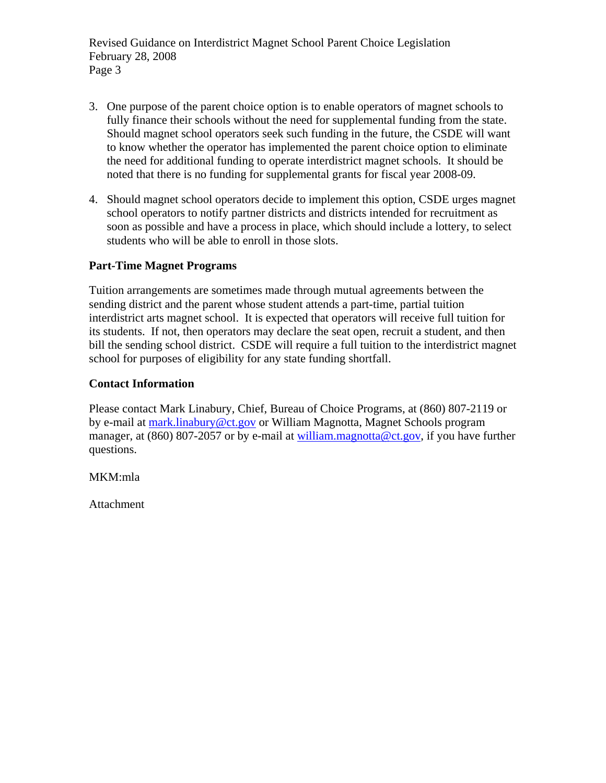Revised Guidance on Interdistrict Magnet School Parent Choice Legislation February 28, 2008 Page 3

- 3. One purpose of the parent choice option is to enable operators of magnet schools to fully finance their schools without the need for supplemental funding from the state. Should magnet school operators seek such funding in the future, the CSDE will want to know whether the operator has implemented the parent choice option to eliminate the need for additional funding to operate interdistrict magnet schools. It should be noted that there is no funding for supplemental grants for fiscal year 2008-09.
- 4. Should magnet school operators decide to implement this option, CSDE urges magnet school operators to notify partner districts and districts intended for recruitment as soon as possible and have a process in place, which should include a lottery, to select students who will be able to enroll in those slots.

# **Part-Time Magnet Programs**

Tuition arrangements are sometimes made through mutual agreements between the sending district and the parent whose student attends a part-time, partial tuition interdistrict arts magnet school. It is expected that operators will receive full tuition for its students. If not, then operators may declare the seat open, recruit a student, and then bill the sending school district. CSDE will require a full tuition to the interdistrict magnet school for purposes of eligibility for any state funding shortfall.

# **Contact Information**

Please contact Mark Linabury, Chief, Bureau of Choice Programs, at (860) 807-2119 or by e-mail at [mark.linabury@ct.gov](mailto:mark.linabury@ct.gov) or William Magnotta, Magnet Schools program manager, at (860) 807-2057 or by e-mail at [william.magnotta@ct.gov](mailto:william.magnotta@ct.gov), if you have further questions.

MKM:mla

Attachment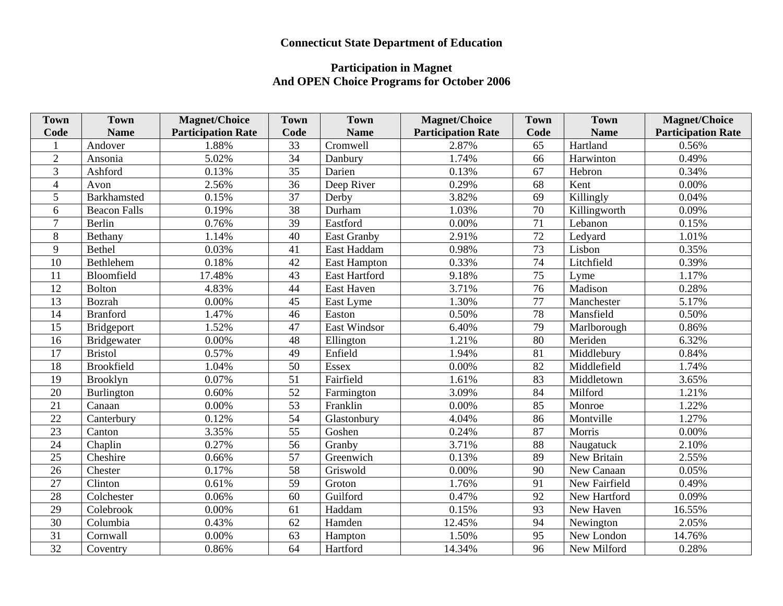# **Connecticut State Department of Education**

#### **Participation in Magnet And OPEN Choice Programs for October 2006**

| <b>Town</b>    | <b>Town</b>         | <b>Magnet/Choice</b>      | <b>Town</b>     | <b>Town</b>          | <b>Magnet/Choice</b>      | <b>Town</b>     | <b>Town</b>   | <b>Magnet/Choice</b>      |
|----------------|---------------------|---------------------------|-----------------|----------------------|---------------------------|-----------------|---------------|---------------------------|
| Code           | <b>Name</b>         | <b>Participation Rate</b> | Code            | <b>Name</b>          | <b>Participation Rate</b> | Code            | <b>Name</b>   | <b>Participation Rate</b> |
|                | Andover             | 1.88%                     | 33              | Cromwell             | 2.87%                     | 65              | Hartland      | 0.56%                     |
| $\overline{2}$ | Ansonia             | 5.02%                     | $\overline{34}$ | Danbury              | 1.74%                     | 66              | Harwinton     | 0.49%                     |
| 3              | Ashford             | 0.13%                     | 35              | Darien               | 0.13%                     | 67              | Hebron        | 0.34%                     |
| $\overline{4}$ | Avon                | 2.56%                     | 36              | Deep River           | 0.29%                     | 68              | Kent          | 0.00%                     |
| 5              | <b>Barkhamsted</b>  | 0.15%                     | 37              | Derby                | 3.82%                     | 69              | Killingly     | 0.04%                     |
| 6              | <b>Beacon Falls</b> | 0.19%                     | 38              | Durham               | 1.03%                     | 70              | Killingworth  | 0.09%                     |
| $\overline{7}$ | Berlin              | 0.76%                     | 39              | Eastford             | 0.00%                     | 71              | Lebanon       | 0.15%                     |
| 8              | Bethany             | 1.14%                     | 40              | <b>East Granby</b>   | 2.91%                     | 72              | Ledyard       | 1.01%                     |
| 9              | Bethel              | 0.03%                     | 41              | East Haddam          | 0.98%                     | 73              | Lisbon        | 0.35%                     |
| 10             | Bethlehem           | 0.18%                     | 42              | <b>East Hampton</b>  | 0.33%                     | 74              | Litchfield    | 0.39%                     |
| 11             | Bloomfield          | 17.48%                    | 43              | <b>East Hartford</b> | 9.18%                     | $\overline{75}$ | Lyme          | 1.17%                     |
| 12             | <b>Bolton</b>       | 4.83%                     | 44              | East Haven           | 3.71%                     | 76              | Madison       | 0.28%                     |
| 13             | Bozrah              | 0.00%                     | 45              | East Lyme            | 1.30%                     | 77              | Manchester    | 5.17%                     |
| 14             | <b>Branford</b>     | 1.47%                     | 46              | Easton               | 0.50%                     | 78              | Mansfield     | 0.50%                     |
| 15             | Bridgeport          | 1.52%                     | 47              | <b>East Windsor</b>  | 6.40%                     | $\overline{79}$ | Marlborough   | 0.86%                     |
| 16             | Bridgewater         | 0.00%                     | 48              | Ellington            | 1.21%                     | 80              | Meriden       | 6.32%                     |
| 17             | <b>Bristol</b>      | 0.57%                     | 49              | Enfield              | 1.94%                     | 81              | Middlebury    | 0.84%                     |
| 18             | <b>Brookfield</b>   | 1.04%                     | 50              | <b>Essex</b>         | 0.00%                     | 82              | Middlefield   | 1.74%                     |
| 19             | Brooklyn            | 0.07%                     | 51              | Fairfield            | 1.61%                     | 83              | Middletown    | 3.65%                     |
| 20             | Burlington          | 0.60%                     | 52              | Farmington           | 3.09%                     | 84              | Milford       | 1.21%                     |
| 21             | Canaan              | 0.00%                     | 53              | Franklin             | 0.00%                     | 85              | Monroe        | 1.22%                     |
| 22             | Canterbury          | 0.12%                     | 54              | Glastonbury          | 4.04%                     | 86              | Montville     | 1.27%                     |
| 23             | Canton              | 3.35%                     | 55              | Goshen               | 0.24%                     | 87              | Morris        | 0.00%                     |
| 24             | Chaplin             | 0.27%                     | 56              | Granby               | 3.71%                     | 88              | Naugatuck     | 2.10%                     |
| 25             | Cheshire            | 0.66%                     | 57              | Greenwich            | 0.13%                     | 89              | New Britain   | 2.55%                     |
| 26             | Chester             | 0.17%                     | $\overline{58}$ | Griswold             | 0.00%                     | 90              | New Canaan    | 0.05%                     |
| $27\,$         | Clinton             | 0.61%                     | 59              | Groton               | 1.76%                     | 91              | New Fairfield | 0.49%                     |
| 28             | Colchester          | 0.06%                     | 60              | Guilford             | 0.47%                     | 92              | New Hartford  | 0.09%                     |
| 29             | Colebrook           | 0.00%                     | 61              | Haddam               | 0.15%                     | 93              | New Haven     | 16.55%                    |
| 30             | Columbia            | 0.43%                     | 62              | Hamden               | 12.45%                    | 94              | Newington     | 2.05%                     |
| 31             | Cornwall            | 0.00%                     | 63              | Hampton              | 1.50%                     | 95              | New London    | 14.76%                    |
| 32             | Coventry            | 0.86%                     | 64              | Hartford             | 14.34%                    | 96              | New Milford   | 0.28%                     |